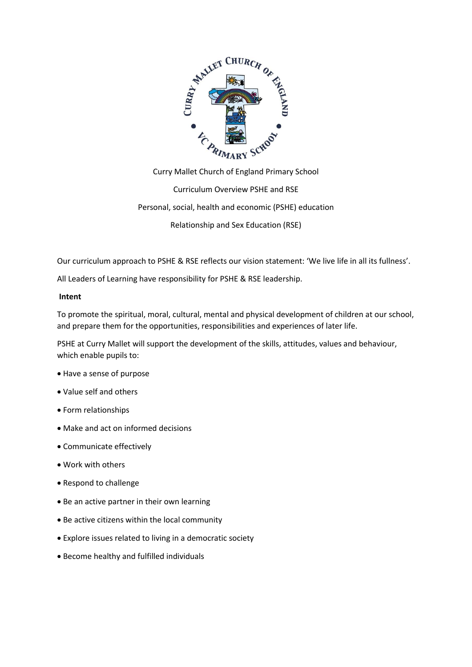

Curry Mallet Church of England Primary School Curriculum Overview PSHE and RSE Personal, social, health and economic (PSHE) education Relationship and Sex Education (RSE)

Our curriculum approach to PSHE & RSE reflects our vision statement: 'We live life in all its fullness'.

All Leaders of Learning have responsibility for PSHE & RSE leadership.

# **Intent**

To promote the spiritual, moral, cultural, mental and physical development of children at our school, and prepare them for the opportunities, responsibilities and experiences of later life.

PSHE at Curry Mallet will support the development of the skills, attitudes, values and behaviour, which enable pupils to:

- Have a sense of purpose
- Value self and others
- Form relationships
- Make and act on informed decisions
- Communicate effectively
- Work with others
- Respond to challenge
- Be an active partner in their own learning
- Be active citizens within the local community
- Explore issues related to living in a democratic society
- Become healthy and fulfilled individuals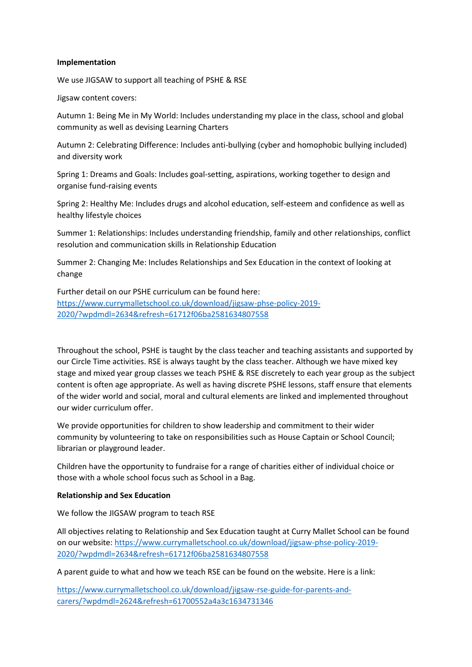# **Implementation**

We use JIGSAW to support all teaching of PSHE & RSE

Jigsaw content covers:

Autumn 1: Being Me in My World: Includes understanding my place in the class, school and global community as well as devising Learning Charters

Autumn 2: Celebrating Difference: Includes anti-bullying (cyber and homophobic bullying included) and diversity work

Spring 1: Dreams and Goals: Includes goal-setting, aspirations, working together to design and organise fund-raising events

Spring 2: Healthy Me: Includes drugs and alcohol education, self-esteem and confidence as well as healthy lifestyle choices

Summer 1: Relationships: Includes understanding friendship, family and other relationships, conflict resolution and communication skills in Relationship Education

Summer 2: Changing Me: Includes Relationships and Sex Education in the context of looking at change

Further detail on our PSHE curriculum can be found here: [https://www.currymalletschool.co.uk/download/jigsaw-phse-policy-2019-](https://www.currymalletschool.co.uk/download/jigsaw-phse-policy-2019-2020/?wpdmdl=2634&refresh=61712f06ba2581634807558) [2020/?wpdmdl=2634&refresh=61712f06ba2581634807558](https://www.currymalletschool.co.uk/download/jigsaw-phse-policy-2019-2020/?wpdmdl=2634&refresh=61712f06ba2581634807558)

Throughout the school, PSHE is taught by the class teacher and teaching assistants and supported by our Circle Time activities. RSE is always taught by the class teacher. Although we have mixed key stage and mixed year group classes we teach PSHE & RSE discretely to each year group as the subject content is often age appropriate. As well as having discrete PSHE lessons, staff ensure that elements of the wider world and social, moral and cultural elements are linked and implemented throughout our wider curriculum offer.

We provide opportunities for children to show leadership and commitment to their wider community by volunteering to take on responsibilities such as House Captain or School Council; librarian or playground leader.

Children have the opportunity to fundraise for a range of charities either of individual choice or those with a whole school focus such as School in a Bag.

# **Relationship and Sex Education**

We follow the JIGSAW program to teach RSE

All objectives relating to Relationship and Sex Education taught at Curry Mallet School can be found on our website[: https://www.currymalletschool.co.uk/download/jigsaw-phse-policy-2019-](https://www.currymalletschool.co.uk/download/jigsaw-phse-policy-2019-2020/?wpdmdl=2634&refresh=61712f06ba2581634807558) [2020/?wpdmdl=2634&refresh=61712f06ba2581634807558](https://www.currymalletschool.co.uk/download/jigsaw-phse-policy-2019-2020/?wpdmdl=2634&refresh=61712f06ba2581634807558)

A parent guide to what and how we teach RSE can be found on the website. Here is a link:

[https://www.currymalletschool.co.uk/download/jigsaw-rse-guide-for-parents-and](https://www.currymalletschool.co.uk/download/jigsaw-rse-guide-for-parents-and-carers/?wpdmdl=2624&refresh=61700552a4a3c1634731346)[carers/?wpdmdl=2624&refresh=61700552a4a3c1634731346](https://www.currymalletschool.co.uk/download/jigsaw-rse-guide-for-parents-and-carers/?wpdmdl=2624&refresh=61700552a4a3c1634731346)